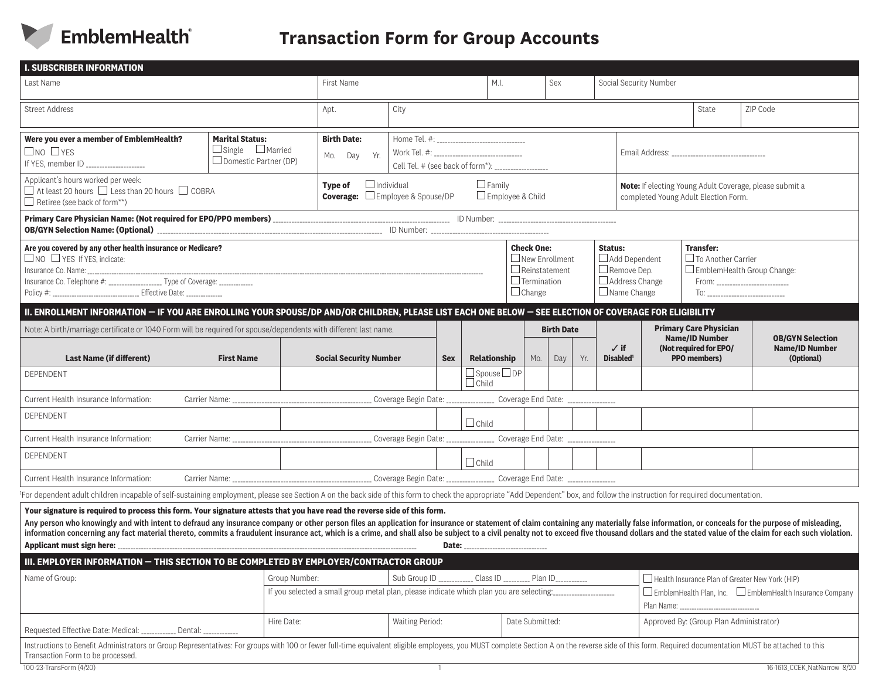

# **Transaction Form for Group Accounts**

| <b>I. SUBSCRIBER INFORMATION</b>                                                                                                                                                                                                                                                                                                                                                                                                                                                                                                                                                              |                                                                                        |                                                                                                                  |                                                                                                                                                         |              |                                                                                                           |                                 |     |                                                                                                      |                                                                                                                                                          |                                                                                                                 |                                                                |          |  |
|-----------------------------------------------------------------------------------------------------------------------------------------------------------------------------------------------------------------------------------------------------------------------------------------------------------------------------------------------------------------------------------------------------------------------------------------------------------------------------------------------------------------------------------------------------------------------------------------------|----------------------------------------------------------------------------------------|------------------------------------------------------------------------------------------------------------------|---------------------------------------------------------------------------------------------------------------------------------------------------------|--------------|-----------------------------------------------------------------------------------------------------------|---------------------------------|-----|------------------------------------------------------------------------------------------------------|----------------------------------------------------------------------------------------------------------------------------------------------------------|-----------------------------------------------------------------------------------------------------------------|----------------------------------------------------------------|----------|--|
| Last Name                                                                                                                                                                                                                                                                                                                                                                                                                                                                                                                                                                                     |                                                                                        | First Name                                                                                                       |                                                                                                                                                         |              |                                                                                                           | M.I.<br>Sex                     |     |                                                                                                      | Social Security Number                                                                                                                                   |                                                                                                                 |                                                                |          |  |
| <b>Street Address</b>                                                                                                                                                                                                                                                                                                                                                                                                                                                                                                                                                                         |                                                                                        | Apt.                                                                                                             | City                                                                                                                                                    |              |                                                                                                           |                                 |     |                                                                                                      |                                                                                                                                                          |                                                                                                                 | State                                                          | ZIP Code |  |
| Were you ever a member of EmblemHealth?<br>$\square$ NO $\square$ YES<br>If YES, member ID ____________________                                                                                                                                                                                                                                                                                                                                                                                                                                                                               | <b>Marital Status:</b><br>$\Box$ Single $\Box$ Married<br>$\Box$ Domestic Partner (DP) | <b>Birth Date:</b><br>Yr.<br>Day<br>Mo.                                                                          | Home Tel. #: ________________________________<br>Work Tel. #: _________________________________<br>Cell Tel. # (see back of form*): ___________________ |              |                                                                                                           |                                 |     |                                                                                                      |                                                                                                                                                          |                                                                                                                 |                                                                |          |  |
| Applicant's hours worked per week:<br>$\Box$ At least 20 hours $\Box$ Less than 20 hours $\Box$ COBRA<br>$\Box$ Retiree (see back of form**)                                                                                                                                                                                                                                                                                                                                                                                                                                                  | Type of                                                                                | $\Box$ Individual<br>$\Box$ Family<br><b>Coverage:</b> $\square$ Employee & Spouse/DP<br>$\Box$ Employee & Child |                                                                                                                                                         |              |                                                                                                           |                                 |     |                                                                                                      | Note: If electing Young Adult Coverage, please submit a<br>completed Young Adult Election Form.                                                          |                                                                                                                 |                                                                |          |  |
| OB/GYN Selection Name: (Optional) <b>[2006]</b> [2006] [2006] [2006] [2006] [2006] [2006] [2006] [D Number: <b>[2006] [2006] [2006] [2006] [2006]</b> [2006] [D Number: <b>[2006] [2006] [2006] [2006] [2006] [2006]</b> [2006] [2006] [2006]                                                                                                                                                                                                                                                                                                                                                 |                                                                                        |                                                                                                                  |                                                                                                                                                         |              |                                                                                                           |                                 |     |                                                                                                      |                                                                                                                                                          |                                                                                                                 |                                                                |          |  |
| Are you covered by any other health insurance or Medicare?<br>$\Box$ NO $\Box$ YES If YES, indicate:<br>Insurance Co. Telephone #: ___________________ Type of Coverage: _____________<br>Policy #: ______________________________ Effective Date: ______________                                                                                                                                                                                                                                                                                                                             |                                                                                        |                                                                                                                  |                                                                                                                                                         |              | <b>Check One:</b><br>$\Box$ New Enrollment<br>$\Box$ Reinstatement<br>$\Box$ Termination<br>$\Box$ Change |                                 |     | <b>Status:</b><br>Add Dependent<br>$\Box$ Remove Dep.<br>$\Box$ Address Change<br>$\Box$ Name Change |                                                                                                                                                          | <b>Transfer:</b><br>$\Box$ To Another Carrier<br>EmblemHealth Group Change:<br>To: ____________________________ |                                                                |          |  |
| II. ENROLLMENT INFORMATION - IF YOU ARE ENROLLING YOUR SPOUSE/DP AND/OR CHILDREN, PLEASE LIST EACH ONE BELOW - SEE ELECTION OF COVERAGE FOR ELIGIBILITY                                                                                                                                                                                                                                                                                                                                                                                                                                       |                                                                                        |                                                                                                                  |                                                                                                                                                         |              |                                                                                                           |                                 |     |                                                                                                      |                                                                                                                                                          |                                                                                                                 |                                                                |          |  |
| Note: A birth/marriage certificate or 1040 Form will be required for spouse/dependents with different last name.<br><b>Last Name (if different)</b>                                                                                                                                                                                                                                                                                                                                                                                                                                           |                                                                                        | <b>Social Security Number</b>                                                                                    |                                                                                                                                                         | Relationship |                                                                                                           | <b>Birth Date</b><br>Mo.<br>Day | Yr. | $\checkmark$ if<br><b>Disabled'</b>                                                                  |                                                                                                                                                          | <b>Primary Care Physician</b><br><b>Name/ID Number</b><br>(Not required for EPO/<br><b>PPO</b> members)         | <b>OB/GYN Selection</b><br><b>Name/ID Number</b><br>(Optional) |          |  |
| DEPENDENT                                                                                                                                                                                                                                                                                                                                                                                                                                                                                                                                                                                     |                                                                                        |                                                                                                                  |                                                                                                                                                         |              | $\Box$ Spouse $\Box$ DP                                                                                   |                                 |     |                                                                                                      |                                                                                                                                                          |                                                                                                                 |                                                                |          |  |
| Current Health Insurance Information:                                                                                                                                                                                                                                                                                                                                                                                                                                                                                                                                                         |                                                                                        |                                                                                                                  |                                                                                                                                                         |              |                                                                                                           |                                 |     |                                                                                                      |                                                                                                                                                          |                                                                                                                 |                                                                |          |  |
| DEPENDENT                                                                                                                                                                                                                                                                                                                                                                                                                                                                                                                                                                                     |                                                                                        |                                                                                                                  |                                                                                                                                                         |              | $\Box$ Child                                                                                              |                                 |     |                                                                                                      |                                                                                                                                                          |                                                                                                                 |                                                                |          |  |
| Current Health Insurance Information:                                                                                                                                                                                                                                                                                                                                                                                                                                                                                                                                                         |                                                                                        |                                                                                                                  |                                                                                                                                                         |              |                                                                                                           |                                 |     |                                                                                                      |                                                                                                                                                          |                                                                                                                 |                                                                |          |  |
| DEPENDENT                                                                                                                                                                                                                                                                                                                                                                                                                                                                                                                                                                                     |                                                                                        |                                                                                                                  |                                                                                                                                                         |              |                                                                                                           |                                 |     |                                                                                                      |                                                                                                                                                          |                                                                                                                 |                                                                |          |  |
| Current Health Insurance Information:                                                                                                                                                                                                                                                                                                                                                                                                                                                                                                                                                         |                                                                                        |                                                                                                                  |                                                                                                                                                         |              |                                                                                                           |                                 |     |                                                                                                      |                                                                                                                                                          |                                                                                                                 |                                                                |          |  |
| For dependent adult children incapable of self-sustaining employment, please see Section A on the back side of this form to check the appropriate "Add Dependent" box, and follow the instruction for required documentation.                                                                                                                                                                                                                                                                                                                                                                 |                                                                                        |                                                                                                                  |                                                                                                                                                         |              |                                                                                                           |                                 |     |                                                                                                      |                                                                                                                                                          |                                                                                                                 |                                                                |          |  |
| Your signature is required to process this form. Your signature attests that you have read the reverse side of this form.<br>Any person who knowingly and with intent to defraud any insurance company or other person files an application for insurance or statement of claim containing any materially false information, or conceals for the purpose of<br>information concerning any fact material thereto, commits a fraudulent insurance act, which is a crime, and shall also be subject to a civil penalty not to exceed five thousand dollars and the stated value of the claim for |                                                                                        |                                                                                                                  |                                                                                                                                                         |              | Date: ______________________________                                                                      |                                 |     |                                                                                                      |                                                                                                                                                          |                                                                                                                 |                                                                |          |  |
| III. EMPLOYER INFORMATION - THIS SECTION TO BE COMPLETED BY EMPLOYER/CONTRACTOR GROUP                                                                                                                                                                                                                                                                                                                                                                                                                                                                                                         |                                                                                        |                                                                                                                  |                                                                                                                                                         |              |                                                                                                           |                                 |     |                                                                                                      |                                                                                                                                                          |                                                                                                                 |                                                                |          |  |
| Name of Group:                                                                                                                                                                                                                                                                                                                                                                                                                                                                                                                                                                                | Group Number:                                                                          | If you selected a small group metal plan, please indicate which plan you are selecting:                          |                                                                                                                                                         |              | Sub Group ID ____________ Class ID _________ Plan ID___________                                           |                                 |     |                                                                                                      | Health Insurance Plan of Greater New York (HIP)<br>EmblemHealth Plan, Inc. EmblemHealth Insurance Company<br>Plan Name: ________________________________ |                                                                                                                 |                                                                |          |  |
| Requested Effective Date: Medical: ___________ Dental: ____________                                                                                                                                                                                                                                                                                                                                                                                                                                                                                                                           | Hire Date:                                                                             | Waiting Period:                                                                                                  |                                                                                                                                                         |              |                                                                                                           | Date Submitted:                 |     |                                                                                                      | Approved By: (Group Plan Administrator)                                                                                                                  |                                                                                                                 |                                                                |          |  |
| Instructions to Benefit Administrators or Group Representatives: For groups with 100 or fewer full-time equivalent eligible employees, you MUST complete Section A on the reverse side of this form. Required documentation MU<br>Transaction Form to be processed.                                                                                                                                                                                                                                                                                                                           |                                                                                        |                                                                                                                  |                                                                                                                                                         |              |                                                                                                           |                                 |     |                                                                                                      |                                                                                                                                                          |                                                                                                                 |                                                                |          |  |
| 100-23-TransForm (4/20)                                                                                                                                                                                                                                                                                                                                                                                                                                                                                                                                                                       |                                                                                        |                                                                                                                  |                                                                                                                                                         |              |                                                                                                           |                                 |     | 16-1613_CCEK_NatNarrow 8/20                                                                          |                                                                                                                                                          |                                                                                                                 |                                                                |          |  |